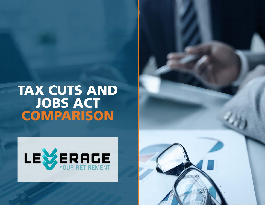## **TAX CUTS AND JOBS ACT COMPARISON**



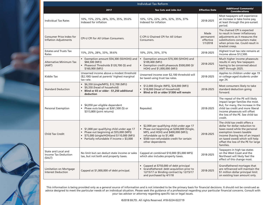| <b>Individual Tax Reform</b>                                 |                                                                                                                                                                                  |                                                                                                                                                                                                                               |                                            |                                                                                                                                                                                                                                                        |
|--------------------------------------------------------------|----------------------------------------------------------------------------------------------------------------------------------------------------------------------------------|-------------------------------------------------------------------------------------------------------------------------------------------------------------------------------------------------------------------------------|--------------------------------------------|--------------------------------------------------------------------------------------------------------------------------------------------------------------------------------------------------------------------------------------------------------|
|                                                              | 2017                                                                                                                                                                             | <b>Tax Cuts and Jobs Act</b>                                                                                                                                                                                                  | <b>Effective Date</b>                      | <b>Additional Comments/</b><br><b>Considerations</b>                                                                                                                                                                                                   |
| <b>Individual Tax Rates</b>                                  | 10%, 15%, 25%, 28%, 33%, 35%, 39.6%<br>Indexed for inflation                                                                                                                     | 10%, 12%, 22%, 24%, 32%, 35%, 37%<br>Indexed for inflation                                                                                                                                                                    | 2018-2025                                  | Most taxpayers will experience<br>an increase in take home pay,<br>at least through the pre-sunset<br>period.                                                                                                                                          |
| Consumer Price Index for<br><b>Inflation Adjustments</b>     | CPI-U CPI for All Urban Consumers.                                                                                                                                               | C-CPI-U Chained CPI for All Urban<br>Consumers.                                                                                                                                                                               | Made<br>permanent<br>effective<br>1/1/2018 | The chained CPI is expected<br>to result in lower inflationary<br>adjustments as it measures the<br>substitutions consumers make<br>when prices rise. Could result in<br>bracket creep.                                                                |
| <b>Estates and Trusts Tax</b><br>Rates                       | 15%, 25%, 28%, 33%, 39.6%                                                                                                                                                        | 10%, 25%, 35%, 37%                                                                                                                                                                                                            | 2018-2025                                  | Highest trust tax rate remains at<br>income above \$12,500.                                                                                                                                                                                            |
| Alternative Minimum Tax<br>(AMT)                             | • Exemption amount \$54,300 (SS/HOH)) and<br>\$84,500 (MFJ)<br>Phaseout Thresholds \$120,700 (S) and<br>\$160,900 (MFJ)                                                          | Exemption amount \$70,300 (S/HOH) and<br>$\bullet$<br>\$109,400 (MFJ)<br>• Exemption credit phaseouts \$500,000 (S/<br>HOH) and \$1,000,000 (MFJ)                                                                             | 2018-2025                                  | Much higher income phaseouts<br>results in very few taxpayers<br>having to be concerned about<br>AMT through 2025.                                                                                                                                     |
| Kiddie Tax                                                   | Unearned income above a modest threshold<br>(\$2,100) taxed at parents' highest marginal<br>tax rate.                                                                            | Unearned income over \$2,100 threshold will<br>be taxed using trust tax rates.                                                                                                                                                | 2018-2025                                  | Applies to children under age 19<br>or college-aged students under<br>age 24.                                                                                                                                                                          |
| <b>Standard Deduction</b>                                    | • \$6,350 (single/MFS), \$12,700 (MFJ)<br>• \$9,350 (head of household)<br>• Blind or 65 or older - \$1,250 additional<br>deduction                                              | • \$12,000 (Single /MFS), \$24,000 (MFJ)<br>• \$18,000 (Head of Household)<br>• Blind or 65 or older \$1300 will remain                                                                                                       | 2018-2025                                  | Most consumers likely to take<br>standard deduction going<br>forward.                                                                                                                                                                                  |
| Personal Exemption                                           | • \$4,050 per eligible dependent<br>• Phase outs begin at \$261,500 (S) or<br>\$313,800 (joint returns)                                                                          | Repealed.                                                                                                                                                                                                                     | 2018-2025                                  | The repeal of the PE will likely<br>impact larger families the most.<br>But, for many, the increase in the<br>child tax credit and more liberal<br>income phaseouts will offset<br>the loss of the PE. See child tax<br>credit.                        |
| <b>Child Tax Credit</b>                                      | • \$1,000 per qualifying child under age 17<br>• Phase out beginning at \$55,000 (MFS)<br>\$75,000 (single/HOH)and \$110,000 (MFJ)<br>• Partially refundable if income > \$3,000 | • \$2,000 per qualifying child under age 17<br>• Phase out beginning at \$200,000 (Single,<br>MFS, and HOH) and \$400,000 (MFJ);<br>refundable up to \$1,400<br>• \$500 non-refundable credit for certain<br>other dependents | 2018-2025                                  | The child tax credit offers a<br>dollar for dollar reduction to<br>taxes owed while the personal<br>exemption lowers taxable<br>income (having less of an impact<br>on taxed owed) which will help<br>offset the loss of the PE for large<br>families. |
| State and Local and<br><b>Income Tax Deduction</b><br>(SALT) | No limit but can deduct state income or sales<br>tax, but not both and property taxes.                                                                                           | Capped at combined \$10,000 (\$5,000 MFS)<br>which also includes property taxes.                                                                                                                                              | 2018-2025                                  | Taxpayers in high tax states<br>on the West Coast and the<br>Northeast will likely feel the<br>effect of this change most.                                                                                                                             |
| <b>Limitation on Mortgage</b><br>Interest Deduction          | Capped at \$1,000,000 of debt principal.                                                                                                                                         | • Capped at \$750,000 of debt principal<br>• Grandfathered: debt acquisition prior to<br>12/15/17 or Binding contract by 12/15/17<br>and purchased by 4/1/18                                                                  | 2018-2025                                  | Grandfathered mortages that<br>are refinanced will maintain the<br>\$1 million dollar principal limit<br>on existing loan amount only.                                                                                                                 |

This information is being provided only as a general source of information and is not intended to be the primary basis for financial decisions. It should not be construed as advice designed to meet the particular needs of an individual situation. Please seek the guidance of a professional regarding your particular financial concerns. Consult with your tax advisor or attorney regarding specific tax or legal issues.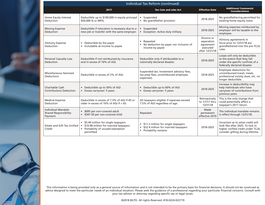|                                                                      | <b>Individual Tax Reform (continued)</b>                                                                                           |                                                                                                          |                                                                     |                                                                                                                                                |
|----------------------------------------------------------------------|------------------------------------------------------------------------------------------------------------------------------------|----------------------------------------------------------------------------------------------------------|---------------------------------------------------------------------|------------------------------------------------------------------------------------------------------------------------------------------------|
|                                                                      | 2017                                                                                                                               | <b>Tax Cuts and Jobs Act</b>                                                                             | <b>Effective Date</b>                                               | <b>Additional Comments/</b><br><b>Considerations</b>                                                                                           |
| Home Equity Interest<br>Deduction                                    | Deductible up to \$100,000 in equity principal<br>\$50,000 (S or MFS).                                                             | · Suspended<br>• No grandfather provision                                                                | 2018-2025                                                           | No grandfathering permitted for<br>existing home equity loans.                                                                                 |
| <b>Moving Expense</b><br>Deduction                                   | Deductible if relocation is necessary due to a<br>new job or transfer with the same employer.                                      | • Suspended<br>• Exception: Active duty military                                                         | 2018-2025                                                           | Moving expenses reimbursed by<br>employer will be taxable to the<br>employee.                                                                  |
| Alimony Expense<br>Deduction                                         | • Deductible by the payer<br>• Includable as income to payee                                                                       | • Repealed<br>• No deduction by payer nor inclusion of<br>income by payee                                | Divorce or<br>separation<br>agreement<br>executed<br>after 12/31/18 | Alimony agreements in<br>force prior to 12/31/18 are<br>grandfathered into the pre-TCJA<br>rules                                               |
| <b>Personal Casualty Loss</b><br>Deduction                           | Deductible if not reimbursed by insurance<br>and in excess of 10% of AGI.                                                          | Deductible only if attributable to a<br>nationally declared disaster.                                    | 2018-2025                                                           | Losses will only be deductible<br>to the extent that they fall<br>under the specific confines of a<br>federally declared disaster.             |
| Miscellaneous Itemized<br>Deductions                                 | Deductible in excess of 2% of AGI.                                                                                                 | Suspended (ex. Investment advisory fees,<br>tax prep fees, unreimbursed employee<br>expenses).           | 2018-2025                                                           | Employee deductions for<br>unreimbursed travel, meals,<br>professional society dues, etc. no<br>longer deductible.                             |
| Charitable Cash<br><b>Contributions Deduction</b>                    | Deductible up to 50% of AGI<br>$\bullet$<br>Excess carryover: 5 years                                                              | Deductible up to 60% of AGI<br>Excess carryover: 5 years                                                 | 2018-2025                                                           | Increase in deductibility may<br>help individuals who have<br>carryover of contributions from<br>previous years.                               |
| <b>Medical Expense</b><br>Deduction                                  | Deductible in excess of 7.5% of AGI if 65 or<br>older in excess of 10% of AGI if $<$ 65.                                           | All taxpayers eligible if expenses exceed<br>7.5% of AGI regardless of age.                              | Retroactively<br>to 1/1/17 thru<br>12/31/18                         | This is the only change that<br>could potentially affect a<br>taxpayer's 2017 return.                                                          |
| <b>Individual Mandate</b><br><b>Shared Responsibility</b><br>Payment | • \$695 per non-covered adult<br>• \$347.50 per non-covered child                                                                  | Repealed.                                                                                                | Made<br>permanent<br>effective 2019                                 | The individual mandate remains<br>in effect through 12/31/18.                                                                                  |
| Estate and Gift Tax Unified<br>Credit                                | • \$5.49 million for single taxpayers<br>• \$10.98 million for married taxpayers<br>• Portability of unused exemption<br>permitted | • \$11.2 million for single taxpayers<br>• \$22.4 million for married taxpayers<br>• Portability remains | 2018-2025                                                           | Uncertain as to what credit will<br>look like after 2025. To lock in<br>higher unified credit under TCJA,<br>consider gifting during lifetime. |



This information is being provided only as a general source of information and is not intended to be the primary basis for financial decisions. It should not be construed as advice designed to meet the particular needs of an individual situation. Please seek the guidance of a professional regarding your particular financial concerns. Consult with your tax advisor or attorney regarding specific tax or legal issues.

©2018 BILTD. All rights Reserved. #18-0224-022719